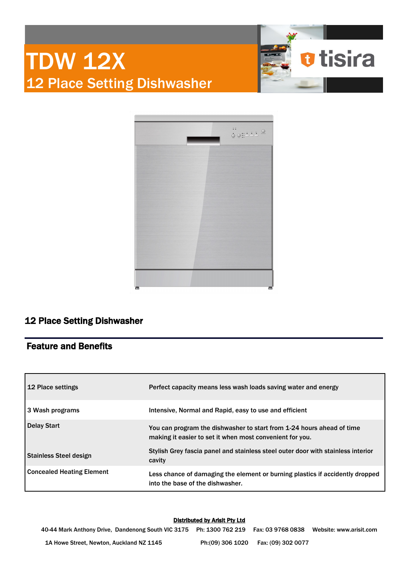



## 12 Place Setting Dishwasher

### Feature and Benefits

| 12 Place settings         | Perfect capacity means less wash loads saving water and energy                                                                    |
|---------------------------|-----------------------------------------------------------------------------------------------------------------------------------|
| 3 Wash programs           | Intensive, Normal and Rapid, easy to use and efficient                                                                            |
| Delay Start               | You can program the dishwasher to start from 1-24 hours ahead of time<br>making it easier to set it when most convenient for you. |
| Stainless Steel design    | Stylish Grey fascia panel and stainless steel outer door with stainless interior<br>cavity                                        |
| Concealed Heating Element | Less chance of damaging the element or burning plastics if accidently dropped<br>into the base of the dishwasher.                 |

### Distributed by Arisit Pty Ltd

40-44 Mark Anthony Drive, Dandenong South VIC 3175 Ph: 1300 762 219 Fax: 03 9768 0838 Website: www.arisit.com 1A Howe Street, Newton, Auckland NZ 1145 Ph:(09) 306 1020 Fax: (09) 302 0077